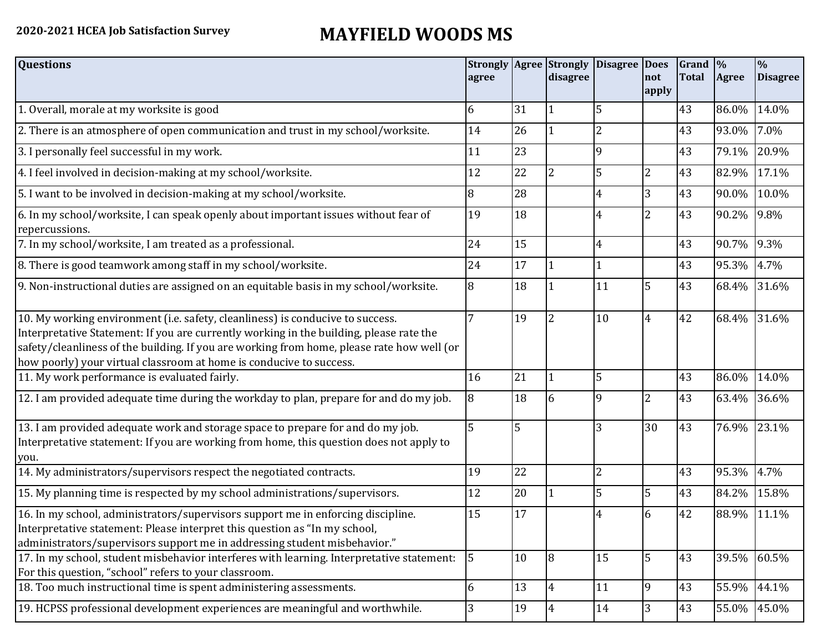## **2020-2021 HCEA Job Satisfaction Survey MAYFIELD WOODS MS**

| <b>Questions</b>                                                                                                                                                                                                                                                                                                                               | agree          |    | disagree       | Strongly Agree Strongly Disagree Does | not<br>apply   | Grand  %<br><b>Total</b> | Agree       | $\frac{1}{2}$<br><b>Disagree</b> |
|------------------------------------------------------------------------------------------------------------------------------------------------------------------------------------------------------------------------------------------------------------------------------------------------------------------------------------------------|----------------|----|----------------|---------------------------------------|----------------|--------------------------|-------------|----------------------------------|
| 1. Overall, morale at my worksite is good                                                                                                                                                                                                                                                                                                      | 6              | 31 |                | 5                                     |                | 43                       | 86.0%       | 14.0%                            |
| 2. There is an atmosphere of open communication and trust in my school/worksite.                                                                                                                                                                                                                                                               | 14             | 26 |                | $\overline{2}$                        |                | 43                       | 93.0%       | 7.0%                             |
| 3. I personally feel successful in my work.                                                                                                                                                                                                                                                                                                    | 11             | 23 |                | 9                                     |                | 43                       | 79.1%       | 20.9%                            |
| 4. I feel involved in decision-making at my school/worksite.                                                                                                                                                                                                                                                                                   | 12             | 22 | $\overline{2}$ | 5                                     | 2              | 43                       | 82.9%       | 17.1%                            |
| 5. I want to be involved in decision-making at my school/worksite.                                                                                                                                                                                                                                                                             | 8              | 28 |                | $\overline{4}$                        | 3              | 43                       | 90.0%       | 10.0%                            |
| 6. In my school/worksite, I can speak openly about important issues without fear of<br>repercussions.                                                                                                                                                                                                                                          | 19             | 18 |                | $\overline{4}$                        | 2              | 43                       | 90.2%       | 9.8%                             |
| 7. In my school/worksite, I am treated as a professional.                                                                                                                                                                                                                                                                                      | 24             | 15 |                | $\overline{4}$                        |                | 43                       | 90.7%       | 9.3%                             |
| 8. There is good teamwork among staff in my school/worksite.                                                                                                                                                                                                                                                                                   | 24             | 17 |                | $\mathbf{1}$                          |                | 43                       | 95.3%       | 4.7%                             |
| 9. Non-instructional duties are assigned on an equitable basis in my school/worksite.                                                                                                                                                                                                                                                          | 8              | 18 |                | 11                                    | 5              | 43                       | 68.4%       | 31.6%                            |
| 10. My working environment (i.e. safety, cleanliness) is conducive to success.<br>Interpretative Statement: If you are currently working in the building, please rate the<br>safety/cleanliness of the building. If you are working from home, please rate how well (or<br>how poorly) your virtual classroom at home is conducive to success. | $\overline{7}$ | 19 | 2              | 10                                    | $\overline{4}$ | 42                       | 68.4%       | 31.6%                            |
| 11. My work performance is evaluated fairly.                                                                                                                                                                                                                                                                                                   | 16             | 21 |                | 5                                     |                | 43                       | 86.0%       | 14.0%                            |
| 12. I am provided adequate time during the workday to plan, prepare for and do my job.                                                                                                                                                                                                                                                         | 8              | 18 | 6              | 9                                     | 2              | 43                       | 63.4%       | 36.6%                            |
| 13. I am provided adequate work and storage space to prepare for and do my job.<br>Interpretative statement: If you are working from home, this question does not apply to<br>you.                                                                                                                                                             | 5              | 5  |                | 3                                     | 30             | 43                       | 76.9%       | 23.1%                            |
| 14. My administrators/supervisors respect the negotiated contracts.                                                                                                                                                                                                                                                                            | 19             | 22 |                | $\overline{2}$                        |                | 43                       | 95.3%       | 4.7%                             |
| 15. My planning time is respected by my school administrations/supervisors.                                                                                                                                                                                                                                                                    | 12             | 20 |                | 5                                     | 5              | 43                       | 84.2%       | 15.8%                            |
| 16. In my school, administrators/supervisors support me in enforcing discipline.<br>Interpretative statement: Please interpret this question as "In my school,<br>administrators/supervisors support me in addressing student misbehavior."                                                                                                    | 15             | 17 |                | $\overline{4}$                        | 6              | 42                       | 88.9%       | 11.1%                            |
| 17. In my school, student misbehavior interferes with learning. Interpretative statement:<br>For this question, "school" refers to your classroom.                                                                                                                                                                                             | $5\phantom{.}$ | 10 | 8              | 15                                    | 5              | 43                       | 39.5%       | 60.5%                            |
| 18. Too much instructional time is spent administering assessments.                                                                                                                                                                                                                                                                            | 6              | 13 | $\overline{4}$ | 11                                    | 9              | 43                       | 55.9% 44.1% |                                  |
| 19. HCPSS professional development experiences are meaningful and worthwhile.                                                                                                                                                                                                                                                                  | 3              | 19 | 4              | 14                                    | 3              | 43                       |             | 55.0% 45.0%                      |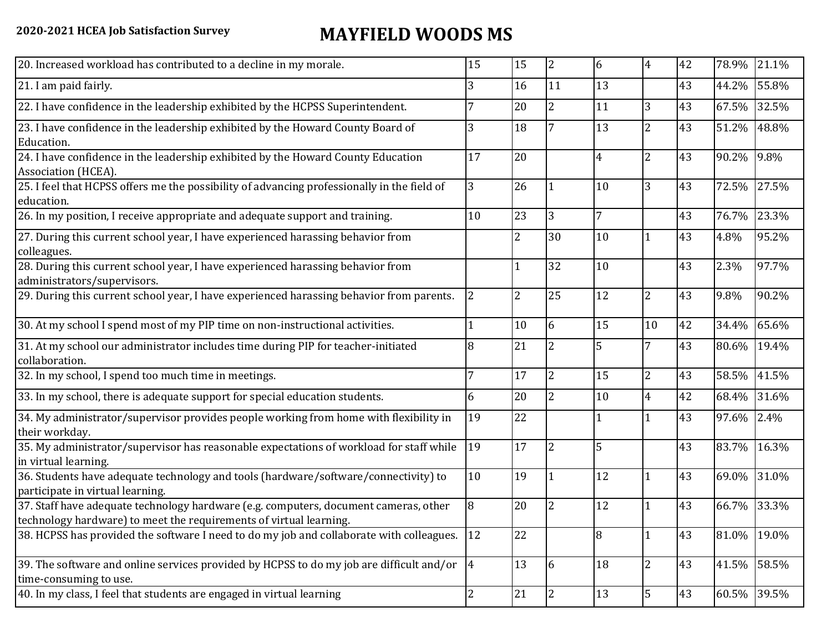## **2020-2021 HCEA Job Satisfaction Survey MAYFIELD WOODS MS**

| 20. Increased workload has contributed to a decline in my morale.                                                                                          | 15             | 15             | $\overline{2}$ | 6              | 4              | 42 |             | 78.9% 21.1% |
|------------------------------------------------------------------------------------------------------------------------------------------------------------|----------------|----------------|----------------|----------------|----------------|----|-------------|-------------|
| 21. I am paid fairly.                                                                                                                                      | 3              | 16             | 11             | 13             |                | 43 | 44.2%       | 55.8%       |
| 22. I have confidence in the leadership exhibited by the HCPSS Superintendent.                                                                             | 7              | 20             | 2              | 11             | 3              | 43 | 67.5%       | 32.5%       |
| 23. I have confidence in the leadership exhibited by the Howard County Board of<br>Education.                                                              | 3              | 18             |                | 13             | $\overline{2}$ | 43 | 51.2%       | 48.8%       |
| 24. I have confidence in the leadership exhibited by the Howard County Education<br>Association (HCEA).                                                    | 17             | 20             |                | $\overline{4}$ | 2              | 43 | 90.2%       | 9.8%        |
| 25. I feel that HCPSS offers me the possibility of advancing professionally in the field of<br>education.                                                  | $\overline{3}$ | 26             |                | 10             | 3              | 43 | 72.5%       | 27.5%       |
| 26. In my position, I receive appropriate and adequate support and training.                                                                               | 10             | 23             | 3              | $\overline{7}$ |                | 43 | 76.7%       | 23.3%       |
| 27. During this current school year, I have experienced harassing behavior from<br>colleagues.                                                             |                | $\overline{2}$ | 30             | 10             | $\mathbf{1}$   | 43 | 4.8%        | 95.2%       |
| 28. During this current school year, I have experienced harassing behavior from<br>administrators/supervisors.                                             |                |                | 32             | 10             |                | 43 | 2.3%        | 97.7%       |
| 29. During this current school year, I have experienced harassing behavior from parents.                                                                   | $\overline{2}$ | $\overline{2}$ | 25             | 12             | $\overline{2}$ | 43 | 9.8%        | 90.2%       |
| 30. At my school I spend most of my PIP time on non-instructional activities.                                                                              |                | 10             | 6              | 15             | 10             | 42 | 34.4%       | 65.6%       |
| 31. At my school our administrator includes time during PIP for teacher-initiated<br>collaboration.                                                        | 8              | 21             | 2              | 5              | $\overline{7}$ | 43 | 80.6%       | 19.4%       |
| 32. In my school, I spend too much time in meetings.                                                                                                       | 7              | 17             | $\overline{2}$ | 15             | $\overline{2}$ | 43 | 58.5%       | 41.5%       |
| 33. In my school, there is adequate support for special education students.                                                                                | 6              | 20             | $\overline{2}$ | 10             | $\overline{4}$ | 42 | 68.4%       | 31.6%       |
| 34. My administrator/supervisor provides people working from home with flexibility in<br>their workday.                                                    | 19             | 22             |                | $\mathbf{1}$   | $\mathbf{1}$   | 43 | 97.6%       | 2.4%        |
| 35. My administrator/supervisor has reasonable expectations of workload for staff while<br>in virtual learning.                                            | 19             | 17             | 2              | 5              |                | 43 | 83.7%       | 16.3%       |
| 36. Students have adequate technology and tools (hardware/software/connectivity) to<br>participate in virtual learning.                                    | 10             | 19             |                | 12             | $\mathbf{1}$   | 43 |             | 69.0% 31.0% |
| 37. Staff have adequate technology hardware (e.g. computers, document cameras, other<br>technology hardware) to meet the requirements of virtual learning. | 8              | 20             | 2              | 12             | $\mathbf{1}$   | 43 | 66.7%       | 33.3%       |
| 38. HCPSS has provided the software I need to do my job and collaborate with colleagues.                                                                   | <sup>12</sup>  | 22             |                | $\overline{8}$ | $\mathbf{1}$   | 43 | 81.0% 19.0% |             |
| 39. The software and online services provided by HCPSS to do my job are difficult and/or $\frac{1}{4}$<br>time-consuming to use.                           |                | 13             | 6              | 18             | $\overline{2}$ | 43 | 41.5%       | 58.5%       |
| 40. In my class, I feel that students are engaged in virtual learning                                                                                      | $\overline{2}$ | 21             | 2              | 13             | 5              | 43 | 60.5%       | 39.5%       |